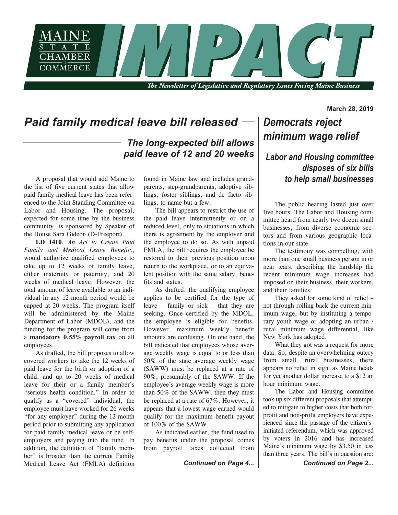

The Newsletter of Legislative and Regulatory Issues Facing Maine Business

## *Paid family medical leave bill released*

*The long-expected bill allows paid leave of 12 and 20 weeks*

A proposal that would add Maine to the list of five current states that allow paid family medical leave has been referenced to the Joint Standing Committee on Labor and Housing. The proposal, expected for some time by the business community, is sponsored by Speaker of the House Sara Gideon (D-Freeport).

**LD 1410**, *An Act to Create Paid Family and Medical Leave Benefits*, would authorize qualified employees to take up to 12 weeks of family leave, either maternity or paternity, and 20 weeks of medical leave. However, the total amount of leave available to an individual in any 12-month period would be capped at 20 weeks. The program itself will be administered by the Maine Department of Labor (MDOL), and the funding for the program will come from a **mandatory 0.55% payroll tax** on all employees.

As drafted, the bill proposes to allow covered workers to take the 12 weeks of paid leave for the birth or adoption of a child, and up to 20 weeks of medical leave for their or a family member's "serious health condition." In order to qualify as a "covered" individual, the employee must have worked for 26 weeks "for any employer" during the 12-month period prior to submitting any application for paid family medical leave or be selfemployers and paying into the fund. In addition, the definition of "family member" is broader than the current Family Medical Leave Act (FMLA) definition found in Maine law and includes grandparents, step-grandparents, adoptive siblings, foster siblings, and de facto siblings, to name but a few.

The bill appears to restrict the use of the paid leave intermittently or on a reduced level, only to situations in which there is agreement by the employer and the employee to do so. As with unpaid FMLA, the bill requires the employee be restored to their previous position upon return to the workplace, or to an equivalent position with the same salary, benefits and status.

As drafted, the qualifying employee applies to be certified for the type of leave – family or sick – that they are seeking. Once certified by the MDOL, the employee is eligible for benefits. However, maximum weekly benefit amounts are confusing. On one hand, the bill indicated that employees whose average weekly wage is equal to or less than 50% of the state average weekly wage (SAWW) must be replaced at a rate of 90%, presumably of the SAWW. If the employee's average weekly wage is more than 50% of the SAWW, then they must be replaced at a rate of 67%. However, it appears that a lowest wage earned would qualify for the maximum benefit payout of 100% of the SAWW.

As indicated earlier, the fund used to pay benefits under the proposal comes from payroll taxes collected from

## *Democrats reject minimum wage relief*

**March 28, 2019**

## *Labor and Housing committee disposes of six bills to help small businesses*

The public hearing lasted just over five hours. The Labor and Housing committee heard from nearly two dozen small businesses, from diverse economic sectors and from various geographic locations in our state.

The testimony was compelling, with more than one small business person in or near tears, describing the hardship the recent minimum wage increases had imposed on their business, their workers, and their families.

They asked for some kind of relief – not through rolling back the current minimum wage, but by instituting a temporary youth wage or adopting an urban / rural minimum wage differential, like New York has adopted.

What they got was a request for more data. So, despite an overwhelming outcry from small, rural businesses, there appears no relief in sight as Maine heads for yet another dollar increase to a \$12 an hour minimum wage.

The Labor and Housing committee took up six different proposals that attempted to mitigate to higher costs that both forprofit and non-profit employers have experienced since the passage of the citizen'sinitiated referendum, which was approved by voters in 2016 and has increased Maine's minimum wage by \$3.50 in less than three years. The bill's in question are:

*Continued on Page 4... Continued on Page 2...*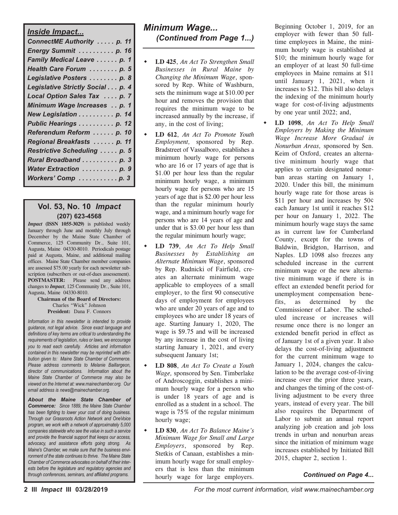#### *Inside Impact...*

| <u>INSIGE INIPACI</u>            |
|----------------------------------|
| ConnectME Authority  p. 11       |
| Energy Summit  p. 16             |
| Family Medical Leave  p. 1       |
| Health Care Forum  p. 5          |
| Legislative Posters  p. 8        |
| Legislative Strictly Social p. 4 |
| Local Option Sales Tax  p. 7     |
| Minimum Wage Increases p. 1      |
| New Legislation p. 14            |
| Public Hearings p. 12            |
| Referendum Reform  p. 10         |
| Regional Breakfasts  p. 11       |
| Restrictive Scheduling  p. 5     |
| Rural Broadband p. 3             |
| Water Extraction  p. 9           |
| Workers' Comp p. 3               |
|                                  |

#### **Vol. 53, No. 10** *Impact* **(207) 623-4568**

*Impact* **(ISSN 1055-3029)** is published weekly January through June and monthly July through December by the Maine State Chamber of Commerce, 125 Community Dr., Suite 101, Augusta, Maine 04330-8010. Periodicals postage paid at Augusta, Maine, and additional mailing offices. Maine State Chamber member companies are assessed \$75.00 yearly for each newsletter subscription (subscribers or out-of-dues assessement). **POSTMASTER:** Please send any address changes to *Impact*, 125 Community Dr., Suite 101, Augusta, Maine 04330-8010.

#### **Chairman of the Board of Directors:** Charles "Wick" Johnson **President:** Dana F. Connors

*Information in this newsletter is intended to provide guidance, not legal advice. Since exact language and definitions of key terms are critical to understanding the requirements of legislation, rules or laws, we encourage you to read each carefully. Articles and information contained in this newsletter may be reprinted with attribution given to: Maine State Chamber of Commerce. Please address comments to Melanie Baillargeon, director of communications. Information about the Maine State Chamber of Commerce may also be viewed on the Internet at: www.mainechamber.org. Our email address is news@mainechamber.org.*

*About the Maine State Chamber of Commerce: Since 1889, the Maine State Chamber has been fighting to lower your cost of doing business. Through our Grassroots Action Network and OneVoice program, we work with a network of approximately 5,000 companies statewide who see the value in such a service and provide the financial support that keeps our access, advocacy, and assistance efforts going strong. As Maine's Chamber, we make sure that the business environment of the state continues to thrive. The Maine State Chamber of Commerce advocates on behalf of their interests before the legislature and regulatory agencies and through conferences, seminars, and affiliated programs.*

## *Minimum Wage... (Continued from Page 1...)*

- **LD** 425, *An Act To Strengthen Small Businesses in Rural Maine by Changing the Minimum Wage*, sponsored by Rep. White of Washburn, sets the minimum wage at \$10.00 per hour and removes the provision that requires the minimum wage to be increased annually by the increase, if any, in the cost of living;
- w **LD 612**, *An Act To Promote Youth Employment,* sponsored by Rep. Bradstreet of Vassalboro, establishes a minimum hourly wage for persons who are 16 or 17 years of age that is \$1.00 per hour less than the regular minimum hourly wage, a minimum hourly wage for persons who are 15 years of age that is \$2.00 per hour less than the regular minimum hourly wage, and a minimum hourly wage for persons who are 14 years of age and under that is \$3.00 per hour less than the regular minimum hourly wage;
- w **LD 739**, *An Act To Help Small Businesses by Establishing an Alternate Minimum Wage*, sponsored by Rep. Rudnicki of Fairfield, creates an alternate minimum wage applicable to employees of a small employer, to the first 90 consecutive days of employment for employees who are under 20 years of age and to employees who are under 18 years of age. Starting January 1, 2020, The wage is \$9.75 and will be increased by any increase in the cost of living starting January 1, 2021, and every subsequent January 1st;
- w **LD 808**, *An Act To Create a Youth Wage,* sponsored by Sen. Timberlake of Androscoggin, establishes a minimum hourly wage for a person who is under 18 years of age and is enrolled as a student in a school. The wage is 75% of the regular minimum hourly wage;
- w **LD 830**, *An Act To Balance Maine's Minimum Wage for Small and Large Employers*, sponsored by Rep. Stetkis of Canaan, establishes a minimum hourly wage for small employers that is less than the minimum hourly wage for large employers.

Beginning October 1, 2019, for an employer with fewer than 50 fulltime employees in Maine, the minimum hourly wage is established at \$10; the minimum hourly wage for an employer of at least 50 full-time employees in Maine remains at \$11 until January 1, 2021, when it increases to \$12. This bill also delays the indexing of the minimum hourly wage for cost-of-living adjustments by one year until 2022; and,

w **LD 1098**, *An Act To Help Small Employers by Making the Minimum Wage Increase More Gradual in Nonurban Areas,* sponsored by Sen. Keim of Oxford, creates an alternative minimum hourly wage that applies to certain designated nonurban areas starting on January 1, 2020. Under this bill, the minimum hourly wage rate for those areas is \$11 per hour and increases by 50¢ each January 1st until it reaches \$12 per hour on January 1, 2022. The minimum hourly wage stays the same as in current law for Cumberland County, except for the towns of Baldwin, Bridgton, Harrison, and Naples. LD 1098 also freezes any scheduled increase in the current minimum wage or the new alternative minimum wage if there is in effect an extended benefit period for unemployment compensation benefits, as determined by the Commissioner of Labor. The scheduled increase or increases will resume once there is no longer an extended benefit period in effect as of January 1st of a given year. It also delays the cost-of-living adjustment for the current minimum wage to January 1, 2024, changes the calculation to be the average cost-of-living increase over the prior three years, and changes the timing of the cost-ofliving adjustment to be every three years, instead of every year. The bill also requires the Department of Labor to submit an annual report analyzing job creation and job loss trends in urban and nonurban areas since the initiation of minimum wage increases established by Initiated Bill 2015, chapter 2, section 1.

#### *Continued on Page 4...*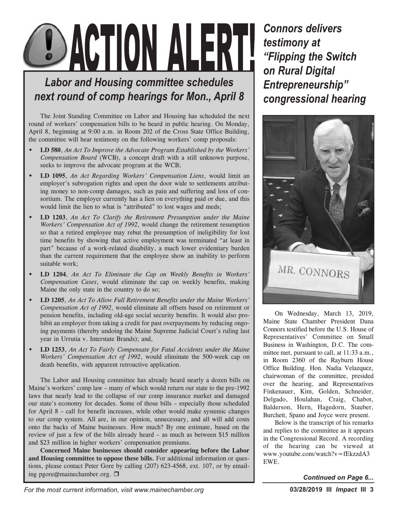# DACTION ALERT!

## *Labor and Housing committee schedules next round of comp hearings for Mon., April 8*

The Joint Standing Committee on Labor and Housing has scheduled the next round of workers' compensation bills to be heard in public hearing. On Monday, April 8, beginning at 9:00 a.m. in Room 202 of the Cross State Office Building, the committee will hear testimony on the following workers' comp proposals:

- w **LD 580**, *An Act To Improve the Advocate Program Established by the Workers' Compensation Board* (WCB), a concept draft with a still unknown purpose, seeks to improve the advocate program at the WCB;
- w **LD 1095**, *An Act Regarding Workers' Compensation Liens*, would limit an employer's subrogation rights and open the door wide to settlements attributing money to non-comp damages, such as pain and suffering and loss of consortium. The employer currently has a lien on everything paid or due, and this would limit the lien to what is "attributed" to lost wages and meds;
- w **LD 1203**, *An Act To Clarify the Retirement Presumption under the Maine Workers' Compensation Act of 1992*, would change the retirement resumption so that a retired employee may rebut the presumption of ineligibility for lost time benefits by showing that active employment was terminated "at least in part" because of a work-related disability, a much lower evidentiary burden than the current requirement that the employee show an inability to perform suitable work;
- w **LD 1204**, *An Act To Eliminate the Cap on Weekly Benefits in Workers' Compensation Cases*, would eliminate the cap on weekly benefits, making Maine the only state in the country to do so;
- w **LD 1205**, *An Act To Allow Full Retirement Benefits under the Maine Workers' Compensation Act of 1992*, would eliminate all offsets based on retirement or pension benefits, including old-age social security benefits. It would also prohibit an employer from taking a credit for past overpayments by reducing ongoing payments (thereby undoing the Maine Supreme Judicial Court's ruling last year in Urrutia v. Interstate Brands); and,
- w **LD 1253**, *An Act To Fairly Compensate for Fatal Accidents under the Maine Workers' Compensation Act of 1992*, would eliminate the 500-week cap on death benefits, with apparent retroactive application.

The Labor and Housing committee has already heard nearly a dozen bills on Maine's workers' comp law – many of which would return our state to the pre-1992 laws that nearly lead to the collapse of our comp insurance market and damaged our state's economy for decades. Some of those bills – especially those scheduled for April 8 – call for benefit increases, while other would make systemic changes to our comp system. All are, in our opinion, unnecessary, and all will add costs onto the backs of Maine businesses. How much? By one estimate, based on the review of just a few of the bills already heard – as much as between \$15 million and \$23 million in higher workers' compensation premiums.

**Concerned Maine businesses should consider appearing before the Labor and Housing committee to oppose these bills.** For additional information or questions, please contact Peter Gore by calling (207) 623-4568, ext. 107, or by emailing pgore@mainechamber.org.  $\Box$ 

*Connors delivers testimony at "Flipping the Switch on Rural Digital Entrepreneurship" congressional hearing*



On Wednesday, March 13, 2019, Maine State Chamber President Dana Connors testified before the U.S. House of Representatives' Committee on Small Business in Washington, D.C. The committee met, pursuant to call, at 11:33 a.m., in Room 2360 of the Rayburn House Office Building. Hon. Nadia Velazquez, chairwoman of the committee, presided over the hearing, and Representatives Finkenauer, Kim, Golden, Schneider, Delgado, Houlahan, Craig, Chabot, Balderson, Hern, Hagedorn, Stauber, Burchett, Spano and Joyce were present.

Below is the transcript of his remarks and replies to the committee as it appears in the Congressional Record. A recording of the hearing can be viewed at www.youtube.com/watch?v=fEkzzdA3 EWE.

*Continued on Page 6...*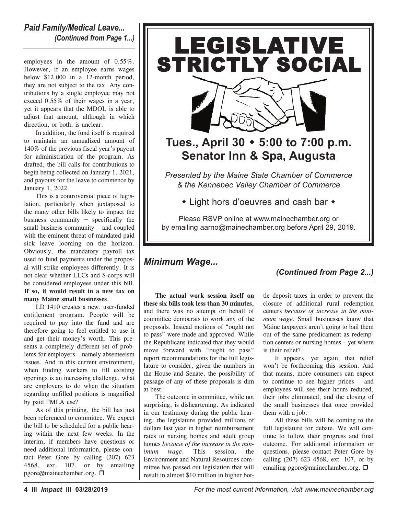#### *Paid Family/Medical Leave... (Continued from Page 1...)*

employees in the amount of 0.55%. However, if an employee earns wages below \$12,000 in a 12-month period, they are not subject to the tax. Any contributions by a single employee may not exceed 0.55% of their wages in a year, yet it appears that the MDOL is able to adjust that amount, although in which direction, or both, is unclear.

In addition, the fund itself is required to maintain an annualized amount of 140% of the previous fiscal year's payout for administration of the program. As drafted, the bill calls for contributions to begin being collected on January 1, 2021, and payouts for the leave to commence by January 1, 2022.

This is a controversial piece of legislation, particularly when juxtaposed to the many other bills likely to impact the business community − specifically the small business community – and coupled with the eminent threat of mandated paid sick leave looming on the horizon. Obviously, the mandatory payroll tax used to fund payments under the proposal will strike employees differently. It is not clear whether LLCs and S-corps will be considered employees under this bill. **If so, it would result in a new tax on many Maine small businesses**.

LD 1410 creates a new, user-funded entitlement program. People will be required to pay into the fund and are therefore going to feel entitled to use it and get their money's worth. This presents a completely different set of problems for employers – namely absenteeism issues. And in this current environment, when finding workers to fill existing openings is an increasing challenge, what are employers to do when the situation regarding unfilled positions is magnified by paid FMLA use?

As of this printing, the bill has just been referenced to committee. We expect the bill to be scheduled for a public hearing within the next few weeks. In the interim, if members have questions or need additional information, please contact Peter Gore by calling (207) 623 4568, ext. 107, or by emailing pgore@mainechamber.org. □





## **Tues., April 30** w **5:00 to 7:00 p.m. Senator Inn & Spa, Augusta**

*Presented by the Maine State Chamber of Commerce & the Kennebec Valley Chamber of Commerce*

 $\bullet$  Light hors d'oeuvres and cash bar  $\bullet$ 

Please RSVP online at www.mainechamber.org or by emailing aarno@mainechamber.org before April 29, 2019.

## *Minimum Wage...*

## *(Continued from Page 2...)*

**The actual work session itself on these six bills took less than 30 minutes**, and there was no attempt on behalf of committee democrats to work any of the proposals. Instead motions of "ought not to pass" were made and approved. While the Republicans indicated that they would move forward with "ought to pass" report recommendations for the full legislature to consider, given the numbers in the House and Senate, the possibility of passage of any of these proposals is dim at best.

The outcome in committee, while not surprising, is disheartening. As indicated in our testimony during the public hearing, the legislature provided millions of dollars last year in higher reimbursement rates to nursing homes and adult group homes *because of the increase in the minimum wage*. This session, the Environment and Natural Resources committee has passed out legislation that will result in almost \$10 million in higher bot-

tle deposit taxes in order to prevent the closure of additional rural redemption centers *because of increase in the minimum wage*. Small businesses know that Maine taxpayers aren't going to bail them out of the same predicament as redemption centers or nursing homes – yet where is their relief?

It appears, yet again, that relief won't be forthcoming this session. And that means, more consumers can expect to continue to see higher prices – and employees will see their hours reduced, their jobs eliminated, and the closing of the small businesses that once provided them with a job.

All these bills will be coming to the full legislature for debate. We will continue to follow their progress and final outcome. For additional information or questions, please contact Peter Gore by calling (207) 623 4568, ext. 107, or by emailing pgore@mainechamber.org. □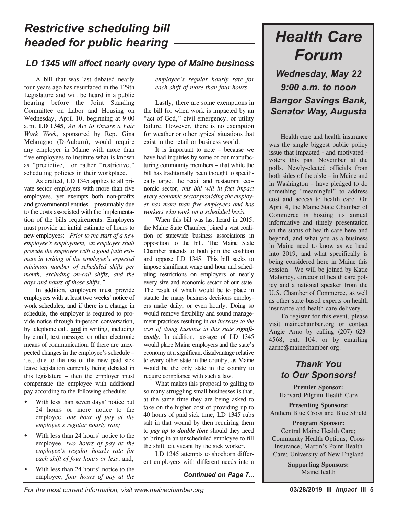## *Restrictive scheduling bill headed for public hearing*

## *LD 1345 will affect nearly every type of Maine business*

A bill that was last debated nearly four years ago has resurfaced in the 129th Legislature and will be heard in a public hearing before the Joint Standing Committee on Labor and Housing on Wednesday, April 10, beginning at 9:00 a.m. **LD 1345**, *An Act to Ensure a Fair Work Week*, sponsored by Rep. Gina Melaragno (D-Auburn), would require any employer in Maine with more than five employees to institute what is known as "predictive," or rather "restrictive," scheduling policies in their workplace.

As drafted, LD 1345 applies to all private sector employers with more than five employees, yet exempts both non-profits and governmental entities – presumably due to the costs associated with the implementation of the bills requirements. Employers must provide an initial estimate of hours to new employees: *"Prior to the start of a new employee's employment, an employer shall provide the employee with a good faith estimate in writing of the employee's expected minimum number of scheduled shifts per month, excluding on-call shifts, and the days and hours of those shifts."*

In addition, employers must provide employees with at least two weeks' notice of work schedules, and if there is a change in schedule, the employer is required to provide notice through in-person conversation, by telephone call, **and** in writing, including by email, text message, or other electronic means of communication. If there are unexpected changes in the employee's schedule – i.e., due to the use of the new paid sick leave legislation currently being debated in this legislature – then the employer must compensate the employee with additional pay according to the following schedule:

- With less than seven days' notice but 24 hours or more notice to the employee, *one hour of pay at the employee's regular hourly rate;*
- With less than 24 hours' notice to the employee, *two hours of pay at the employee's regular hourly rate for each shift of four hours or less*; and,
- With less than 24 hours' notice to the employee, *four hours of pay at the*

*employee's regular hourly rate for each shift of more than four hours*.

Lastly, there are some exemptions in the bill for when work is impacted by an "act of God," civil emergency, or utility failure. However, there is no exemption for weather or other typical situations that exist in the retail or business world.

It is important to note – because we have had inquiries by some of our manufacturing community members – that while the bill has traditionally been thought to specifically target the retail and restaurant economic sector, *this bill will in fact impact every economic sector providing the employer has more than five employees and has workers who work on a scheduled basis.*

When this bill was last heard in 2015, the Maine State Chamber joined a vast coalition of statewide business associations in opposition to the bill. The Maine State Chamber intends to both join the coalition and oppose LD 1345. This bill seeks to impose significant wage-and-hour and scheduling restrictions on employers of nearly every size and economic sector of our state. The result of which would be to place in statute the many business decisions employers make daily, or even hourly. Doing so would remove flexibility and sound management practices resulting in *an increase to the cost of doing business in this state significantly.* In addition, passage of LD 1345 would place Maine employers and the state's economy at a significant disadvantage relative to every other state in the country, as Maine would be the only state in the country to require compliance with such a law.

What makes this proposal to galling to so many struggling small businesses is that, at the same time they are being asked to take on the higher cost of providing up to 40 hours of paid sick time, LD 1345 rubs salt in that wound by then requiring them to *pay up to double time* should they need to bring in an unscheduled employee to fill the shift left vacant by the sick worker.

LD 1345 attempts to shoehorn different employers with different needs into a

#### *Continued on Page 7...*

# *Health Care Forum*

*Wednesday, May 22 9:00 a.m. to noon Bangor Savings Bank, Senator Way, Augusta*

Health care and health insurance was the single biggest public policy issue that impacted - and motivated voters this past November at the polls. Newly-elected officials from both sides of the aisle – in Maine and in Washington – have pledged to do something "meaningful" to address cost and access to health care. On April 4, the Maine State Chamber of Commerce is hosting its annual informative and timely presentation on the status of health care here and beyond, and what you as a business in Maine need to know as we head into 2019, and what specifically is being considered here in Maine this session. We will be joined by Katie Mahoney, director of health care policy and a national speaker from the U.S. Chamber of Commerce, as well as other state-based experts on health insurance and health care delivery.

To register for this event, please visit mainechamber.org or contact Angie Arno by calling (207) 623- 4568, ext. 104, or by emailing aarno@mainechamber.org.

## *Thank You to Our Sponsors!*

**Premier Sponsor:** Harvard Pilgrim Health Care

**Presenting Sponsors:** Anthem Blue Cross and Blue Shield

**Program Sponsor:** Central Maine Health Care; Community Health Options; Cross Insurance; Martin's Point Health Care; University of New England

> **Supporting Sponsors:** MaineHealth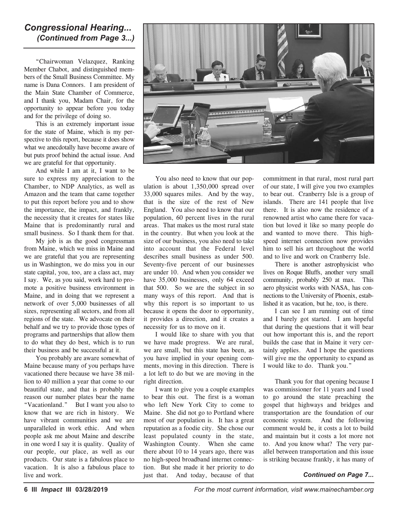#### *Congressional Hearing... (Continued from Page 3...)*

"Chairwoman Velazquez, Ranking Member Chabot, and distinguished members of the Small Business Committee. My name is Dana Connors. I am president of the Main State Chamber of Commerce, and I thank you, Madam Chair, for the opportunity to appear before you today and for the privilege of doing so.

This is an extremely important issue for the state of Maine, which is my perspective to this report, because it does show what we anecdotally have become aware of but puts proof behind the actual issue. And we are grateful for that opportunity.

And while I am at it, I want to be sure to express my appreciation to the Chamber, to NDP Analytics, as well as Amazon and the team that came together to put this report before you and to show the importance, the impact, and frankly, the necessity that it creates for states like Maine that is predominantly rural and small business. So I thank them for that.

My job is as the good congressman from Maine, which we miss in Maine and we are grateful that you are representing us in Washington, we do miss you in our state capital, you, too, are a class act, may I say. We, as you said, work hard to promote a positive business environment in Maine, and in doing that we represent a network of over 5,000 businesses of all sizes, representing all sectors, and from all regions of the state. We advocate on their behalf and we try to provide those types of programs and partnerships that allow them to do what they do best, which is to run their business and be successful at it.

You probably are aware somewhat of Maine because many of you perhaps have vacationed there because we have 38 million to 40 million a year that come to our beautiful state, and that is probably the reason our number plates bear the name "Vacationland." But I want you also to know that we are rich in history. We have vibrant communities and we are unparalleled in work ethic. And when people ask me about Maine and describe in one word I say it is quality. Quality of our people, our place, as well as our products. Our state is a fabulous place to vacation. It is also a fabulous place to live and work.



You also need to know that our population is about 1,350,000 spread over 33,000 squares miles. And by the way, that is the size of the rest of New England. You also need to know that our population, 60 percent lives in the rural areas. That makes us the most rural state in the country. But when you look at the size of our business, you also need to take into account that the Federal level describes small business as under 500. Seventy-five percent of our businesses are under 10. And when you consider we have 35,000 businesses, only 64 exceed that 500. So we are the subject in so many ways of this report. And that is why this report is so important to us because it opens the door to opportunity, it provides a direction, and it creates a necessity for us to move on it.

I would like to share with you that we have made progress. We are rural, we are small, but this state has been, as you have implied in your opening comments, moving in this direction. There is a lot left to do but we are moving in the right direction.

I want to give you a couple examples to bear this out. The first is a woman who left New York City to come to Maine. She did not go to Portland where most of our population is. It has a great reputation as a foodie city. She chose our least populated county in the state, Washington County. When she came there about 10 to 14 years ago, there was no high-speed broadband internet connection. But she made it her priority to do just that. And today, because of that

commitment in that rural, most rural part of our state, I will give you two examples to bear out. Cranberry Isle is a group of islands. There are 141 people that live there. It is also now the residence of a renowned artist who came there for vacation but loved it like so many people do and wanted to move there. This highspeed internet connection now provides him to sell his art throughout the world and to live and work on Cranberry Isle.

There is another astrophysicist who lives on Roque Bluffs, another very small community, probably 250 at max. This aero physicist works with NASA, has connections to the University of Phoenix, established it as vacation, but he, too, is there.

I can see I am running out of time and I barely got started. I am hopeful that during the questions that it will bear out how important this is, and the report builds the case that in Maine it very certainly applies. And I hope the questions will give me the opportunity to expand as I would like to do. Thank you."

Thank you for that opening because I was commissioner for 11 years and I used to go around the state preaching the gospel that highways and bridges and transportation are the foundation of our economic system. And the following comment would be, it costs a lot to build and maintain but it costs a lot more not to. And you know what? The very parallel between transportation and this issue is striking because frankly, it has many of

*Continued on Page 7...*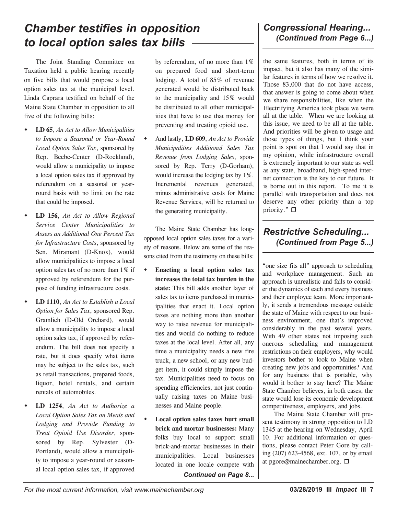## *Chamber testifies in opposition to local option sales tax bills*

The Joint Standing Committee on Taxation held a public hearing recently on five bills that would propose a local option sales tax at the municipal level. Linda Caprara testified on behalf of the Maine State Chamber in opposition to all five of the following bills:

- w **LD 65**, *An Act to Allow Municipalities to Impose a Seasonal or Year-Round Local Option Sales Tax*, sponsored by Rep. Beebe-Center (D-Rockland), would allow a municipality to impose a local option sales tax if approved by referendum on a seasonal or yearround basis with no limit on the rate that could be imposed.
- w **LD 156**, *An Act to Allow Regional Service Center Municipalities to Assess an Additional One Percent Tax for Infrastructure Costs*, sponsored by Sen. Miramant (D-Knox), would allow municipalities to impose a local option sales tax of no more than 1% if approved by referendum for the purpose of funding infrastructure costs.
- w **LD 1110**, *An Act to Establish a Local Option for Sales Tax*, sponsored Rep. Gramlich (D-Old Orchard), would allow a municipality to impose a local option sales tax, if approved by referendum. The bill does not specify a rate, but it does specify what items may be subject to the sales tax, such as retail transactions, prepared foods, liquor, hotel rentals, and certain rentals of automobiles.
- w **LD 1254**, *An Act to Authorize a Local Option Sales Tax on Meals and Lodging and Provide Funding to Treat Opioid Use Disorder*, sponsored by Rep. Sylvester (D-Portland), would allow a municipality to impose a year-round or seasonal local option sales tax, if approved

by referendum, of no more than 1% on prepared food and short-term lodging. A total of 85% of revenue generated would be distributed back to the municipality and 15% would be distributed to all other municipalities that have to use that money for preventing and treating opioid use.

And lastly, LD 609, *An Act to Provide Municipalities Additional Sales Tax Revenue from Lodging Sales*, sponsored by Rep. Terry (D-Gorham), would increase the lodging tax by 1%. Incremental revenues generated, minus administrative costs for Maine Revenue Services, will be returned to the generating municipality.

The Maine State Chamber has longopposed local option sales taxes for a variety of reasons. Below are some of the reasons cited from the testimony on these bills:

- w **Enacting a local option sales tax increases the total tax burden in the state:** This bill adds another layer of sales tax to items purchased in municipalities that enact it. Local option taxes are nothing more than another way to raise revenue for municipalities and would do nothing to reduce taxes at the local level. After all, any time a municipality needs a new fire truck, a new school, or any new budget item, it could simply impose the tax. Municipalities need to focus on spending efficiencies, not just continually raising taxes on Maine businesses and Maine people.
- Local option sales taxes hurt small **brick and mortar businesses:** Many folks buy local to support small brick-and-mortar businesses in their municipalities. Local businesses located in one locale compete with

*Continued on Page 8...*

the same features, both in terms of its impact, but it also has many of the similar features in terms of how we resolve it. Those 83,000 that do not have access, that answer is going to come about when we share responsibilities, like when the Electrifying America took place we were all at the table. When we are looking at this issue, we need to be all at the table. And priorities will be given to usage and those types of things, but I think your point is spot on that I would say that in my opinion, while infrastructure overall is extremely important to our state as well as any state, broadband, high-speed internet connection is the key to our future. It is borne out in this report. To me it is parallel with transportation and does not deserve any other priority than a top priority."  $\Box$ 

## *Restrictive Scheduling... (Continued from Page 5...)*

"one size fits all" approach to scheduling and workplace management. Such an approach is unrealistic and fails to consider the dynamics of each and every business and their employee team. More importantly, it sends a tremendous message outside the state of Maine with respect to our business environment, one that's improved considerably in the past several years. With 49 other states not imposing such onerous scheduling and management restrictions on their employers, why would investors bother to look to Maine when creating new jobs and opportunities? And for any business that is portable, why would it bother to stay here? The Maine State Chamber believes, in both cases, the state would lose its economic development competitiveness, employers, and jobs.

The Maine State Chamber will present testimony in strong opposition to LD 1345 at the hearing on Wednesday, April 10. For additional information or questions, please contact Peter Gore by calling (207) 623-4568, ext. 107, or by email at pgore@mainechamber.org.  $\Box$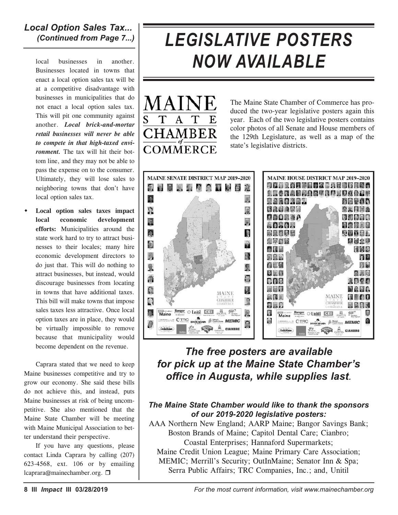*Local Option Sales Tax... (Continued from Page 7...)*

local businesses in another. Businesses located in towns that enact a local option sales tax will be at a competitive disadvantage with businesses in municipalities that do not enact a local option sales tax. This will pit one community against another. *Local brick-and-mortar retail businesses will never be able to compete in that high-taxed environment.* The tax will hit their bottom line, and they may not be able to pass the expense on to the consumer. Ultimately, they will lose sales to neighboring towns that don't have local option sales tax.

w **Local option sales taxes impact local economic development efforts:** Municipalities around the state work hard to try to attract businesses to their locales; many hire economic development directors to do just that. This will do nothing to attract businesses, but instead, would discourage businesses from locating in towns that have additional taxes. This bill will make towns that impose sales taxes less attractive. Once local option taxes are in place, they would be virtually impossible to remove because that municipality would become dependent on the revenue.

Caprara stated that we need to keep Maine businesses competitive and try to grow our economy. She said these bills do not achieve this, and instead, puts Maine businesses at risk of being uncompetitive. She also mentioned that the Maine State Chamber will be meeting with Maine Municipal Association to better understand their perspective.

If you have any questions, please contact Linda Caprara by calling (207) 623-4568, ext. 106 or by emailing lcaprara@mainechamber.org. □

# *LEGISLATIVE POSTERS NOW AVAILABLE*



The Maine State Chamber of Commerce has produced the two-year legislative posters again this year. Each of the two legislative posters contains color photos of all Senate and House members of the 129th Legislature, as well as a map of the state's legislative districts.



## *The free posters are available for pick up at the Maine State Chamber's office in Augusta, while supplies last.*

#### *The Maine State Chamber would like to thank the sponsors of our 2019-2020 legislative posters:*

AAA Northern New England; AARP Maine; Bangor Savings Bank; Boston Brands of Maine; Capitol Dental Care; Cianbro; Coastal Enterprises; Hannaford Supermarkets; Maine Credit Union League; Maine Primary Care Association; MEMIC; Merrill's Security; OutInMaine; Senator Inn & Spa; Serra Public Affairs; TRC Companies, Inc.; and, Unitil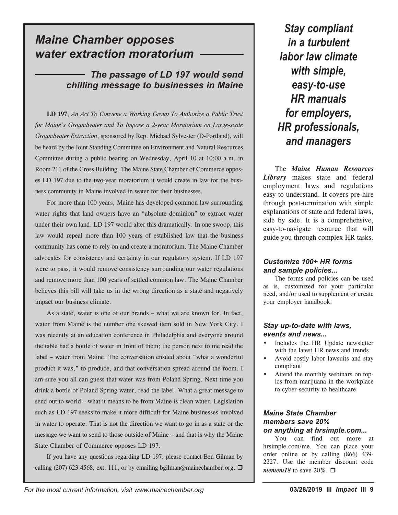## *Maine Chamber opposes water extraction moratorium*

## *The passage of LD 197 would send chilling message to businesses in Maine*

**LD 197**, *An Act To Convene a Working Group To Authorize a Public Trust for Maine's Groundwater and To Impose a 2-year Moratorium on Large-scale Groundwater Extraction*, sponsored by Rep. Michael Sylvester (D-Portland), will be heard by the Joint Standing Committee on Environment and Natural Resources Committee during a public hearing on Wednesday, April 10 at 10:00 a.m. in Room 211 of the Cross Building. The Maine State Chamber of Commerce opposes LD 197 due to the two-year moratorium it would create in law for the business community in Maine involved in water for their businesses.

For more than 100 years, Maine has developed common law surrounding water rights that land owners have an "absolute dominion" to extract water under their own land. LD 197 would alter this dramatically. In one swoop, this law would repeal more than 100 years of established law that the business community has come to rely on and create a moratorium. The Maine Chamber advocates for consistency and certainty in our regulatory system. If LD 197 were to pass, it would remove consistency surrounding our water regulations and remove more than 100 years of settled common law. The Maine Chamber believes this bill will take us in the wrong direction as a state and negatively impact our business climate.

As a state, water is one of our brands – what we are known for. In fact, water from Maine is the number one skewed item sold in New York City. I was recently at an education conference in Philadelphia and everyone around the table had a bottle of water in front of them; the person next to me read the label – water from Maine. The conversation ensued about "what a wonderful product it was," to produce, and that conversation spread around the room. I am sure you all can guess that water was from Poland Spring. Next time you drink a bottle of Poland Spring water, read the label. What a great message to send out to world – what it means to be from Maine is clean water. Legislation such as LD 197 seeks to make it more difficult for Maine businesses involved in water to operate. That is not the direction we want to go in as a state or the message we want to send to those outside of Maine – and that is why the Maine State Chamber of Commerce opposes LD 197.

If you have any questions regarding LD 197, please contact Ben Gilman by calling (207) 623-4568, ext. 111, or by emailing bgilman@mainechamber.org.  $\Box$ 

*Stay compliant in a turbulent labor law climate with simple, easy-to-use HR manuals for employers, HR professionals, and managers*

The *Maine Human Resources Library* makes state and federal employment laws and regulations easy to understand. It covers pre-hire through post-termination with simple explanations of state and federal laws, side by side. It is a comprehensive, easy-to-navigate resource that will guide you through complex HR tasks.

#### *Customize 100+ HR forms and sample policies...*

The forms and policies can be used as is, customized for your particular need, and/or used to supplement or create your employer handbook.

#### *Stay up-to-date with laws, events and news...*

- Includes the HR Update newsletter with the latest HR news and trends
- Avoid costly labor lawsuits and stay compliant
- Attend the monthly webinars on topics from marijuana in the workplace to cyber-security to healthcare

#### *Maine State Chamber members save 20% on anything at hrsimple.com...*

You can find out more at hrsimple.com/me. You can place your order online or by calling (866) 439- 2227. Use the member discount code *memem18* to save 20%.  $\Box$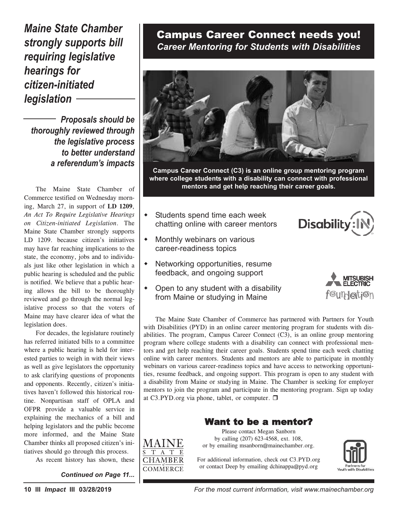*Maine State Chamber strongly supports bill requiring legislative hearings for citizen-initiated legislation*

*Proposals should be thoroughly reviewed through the legislative process to better understand a referendum's impacts*

The Maine State Chamber of Commerce testified on Wednesday morning, March 27, in support of **LD 1209**, *An Act To Require Legislative Hearings on Citizen-initiated Legislation*. The Maine State Chamber strongly supports LD 1209. because citizen's initiatives may have far reaching implications to the state, the economy, jobs and to individuals just like other legislation in which a public hearing is scheduled and the public is notified. We believe that a public hearing allows the bill to be thoroughly reviewed and go through the normal legislative process so that the voters of Maine may have clearer idea of what the legislation does. • Students spend time each week

For decades, the legislature routinely has referred initiated bills to a committee where a public hearing is held for interested parties to weigh in with their views as well as give legislators the opportunity to ask clarifying questions of proponents and opponents. Recently, citizen's initiatives haven't followed this historical routine. Nonpartisan staff of OPLA and OFPR provide a valuable service in explaining the mechanics of a bill and helping legislators and the public become more informed, and the Maine State Chamber thinks all proposed citizen's initiatives should go through this process.

As recent history has shown, these

*Continued on Page 11...*

## **Campus Career Connect needs you!** *Career Mentoring for Students with Disabilities* **Career Mentoring for Students with Disabilities**

**Students with Disabilities**



Campus Career Connect (C3) is an online group mentoring program where college students with a disability can connect with professional mentors and get help reaching their career goals. **mentors and get help reaching their career goals.** mentors and get help reaching their career goals.

- Students spend time each week e chatting online with career mentors  $\mathcal{C}^{\text{c}}$  chatting online with career mentors  $\mathcal{C}^{\text{c}}$
- Monthly webinars on various w Monthly webinars on various • Monthly weblinary on various<br>
• Career-readiness topics career-readiness topics chatting online with career mentors
- Networking opportunities, resume w Networking opportunities, resume <sup>1</sup> Fretworking opportunities, resume<br>
<sup>ic</sup> feedback, and ongoing support feedback, & ongoing support career-readiness topics disability from Maine or studying in
	- **From Maine or studying in Maine**<br>
	Fould for Text of any student with a student with community of the student of the student of the student of the • Open to any student with a • Open to any student with a disability  $\epsilon$  ,  $\epsilon$  on  $\epsilon$  support support support support support support support support support support support support support support support support support support support support support support support support support s

**Disability** 



The Maine State Chamber of Commerce has partnered with Partners for Youth program where college students with a disability can connect with professional menfor and get neip reaching their career goals. Students spend time each week chatting online with career mentors. Students and mentors are able to participate in monthly webinars on various career-readiness topics and have access to networking opportunities, resume feedback, and ongoing support. This program is open to any student with a disability from Maine or studying in Maine. The Chamber is seeking for employer at C3.PYD.org via phone, tablet, or computer.  $\Box$ · Attend monthly webinars to engage mentors to join the program and participate in the mentoring program. Sign up today at  $C3.PYD.org$  via phone, tablet, or computer.  $\Box$ **i** The Mallie state Challiber of Commerce has partnered with Partners for Fouth with Disabilities (PYD) in an online career mentoring program for students with disabilities. The program, Campus Career Connect (C3), is an online group mentoring program where college students with a disphility can connect with professional men program where conege students with a disability can connect with professional mem-<br>tors and get help reaching their career goals. Students spend time each week chatting **p**) in an online career mentoring program for students v<br>**1.** Campus Career Connect (C3), is an online group m

#### Want to be a mentor?

or by emailing msanborn@mainechamber.org. Please contact Megan Sanborn by calling (207) 623-4568, ext. 108,

For additional information, check out C3.PYD.org or contact Deep by emailing dchinappa@pyd.org



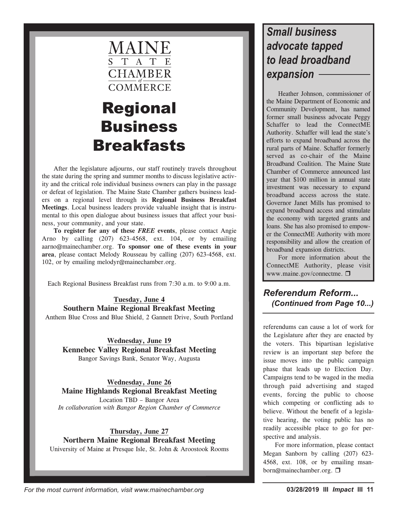

## Regional Business **Breakfasts**

After the legislature adjourns, our staff routinely travels throughout the state during the spring and summer months to discuss legislative activity and the critical role individual business owners can play in the passage or defeat of legislation. The Maine State Chamber gathers business leaders on a regional level through its **Regional Business Breakfast Meetings**. Local business leaders provide valuable insight that is instrumental to this open dialogue about business issues that affect your business, your community, and your state.

**To register for any of these** *FREE* **events**, please contact Angie Arno by calling (207) 623-4568, ext. 104, or by emailing aarno@mainechamber.org. **To sponsor one of these events in your area**, please contact Melody Rousseau by calling (207) 623-4568, ext. 102, or by emailing melodyr@mainechamber.org.

Each Regional Business Breakfast runs from 7:30 a.m. to 9:00 a.m.

#### **Tuesday, June 4 Southern Maine Regional Breakfast Meeting** Anthem Blue Cross and Blue Shield, 2 Gannett Drive, South Portland

**Wednesday, June 19 Kennebec Valley Regional Breakfast Meeting** Bangor Savings Bank, Senator Way, Augusta

**Wednesday, June 26 Maine Highlands Regional Breakfast Meeting** Location TBD – Bangor Area

*In collaboration with Bangor Region Chamber of Commerce*

#### **Thursday, June 27 Northern Maine Regional Breakfast Meeting**

University of Maine at Presque Isle, St. John & Aroostook Rooms

## *Small business advocate tapped to lead broadband expansion*

Heather Johnson, commissioner of the Maine Department of Economic and Community Development, has named former small business advocate Peggy Schaffer to lead the ConnectME Authority. Schaffer will lead the state's efforts to expand broadband across the rural parts of Maine. Schaffer formerly served as co-chair of the Maine Broadband Coalition. The Maine State Chamber of Commerce announced last year that \$100 million in annual state investment was necessary to expand broadband access across the state. Governor Janet Mills has promised to expand broadband access and stimulate the economy with targeted grants and loans. She has also promised to empower the ConnectME Authority with more responsibility and allow the creation of broadband expansion districts.

For more information about the ConnectME Authority, please visit www.maine.gov/connectme.

*Referendum Reform... (Continued from Page 10...)*

referendums can cause a lot of work for the Legislature after they are enacted by the voters. This bipartisan legislative review is an important step before the issue moves into the public campaign phase that leads up to Election Day. Campaigns tend to be waged in the media through paid advertising and staged events, forcing the public to choose which competing or conflicting ads to believe. Without the benefit of a legislative hearing, the voting public has no readily accessible place to go for perspective and analysis.

For more information, please contact Megan Sanborn by calling (207) 623- 4568, ext. 108, or by emailing msanborn@mainechamber.org. □

*For the most current information, visit www.mainechamber.org* **03/28/2019 III** *Impact* **III 11**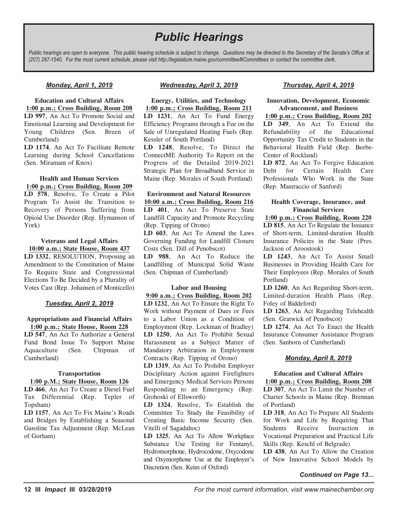## *Public Hearings*

Public hearings are open to everyone. This public hearing schedule is subject to change. Questions may be directed to the Secretary of the Senate's Office at (207) 287-1540. For the most current schedule, please visit http://legislature.maine.gov/committee/#Committees or contact the committee clerk.

#### *Monday, April 1, 2019*

**Education and Cultural Affairs 1:00 p.m.; Cross Building, Room 208 LD 997**, An Act To Promote Social and Emotional Learning and Development for Young Children (Sen. Breen of Cumberland)

**LD 1174**, An Act To Facilitate Remote Learning during School Cancellations (Sen. Miramant of Knox)

#### **Health and Human Services 1:00 p.m.; Cross Building, Room 209**

**LD 578**, Resolve, To Create a Pilot Program To Assist the Transition to Recovery of Persons Suffering from Opioid Use Disorder (Rep. Hymanson of York)

#### **Veterans and Legal Affairs 10:00 a.m.; State House, Room 437**

**LD 1332**, RESOLUTION, Proposing an Amendment to the Constitution of Maine To Require State and Congressional Elections To Be Decided by a Plurality of Votes Cast (Rep. Johansen of Monticello)

#### *Tuesday, April 2, 2019*

**Appropriations and Financial Affairs 1:00 p.m.; State House, Room 228**

**LD 547**, An Act To Authorize a General Fund Bond Issue To Support Maine Aquaculture (Sen. Chipman of Cumberland)

#### **Transportation**

**1:00 p.M.; State House, Room 126 LD 466**, An Act To Create a Diesel Fuel Tax Differential (Rep. Tepler of Topsham)

**LD 1157**, An Act To Fix Maine's Roads and Bridges by Establishing a Seasonal Gasoline Tax Adjustment (Rep. McLean of Gorham)

#### *Wednesday, April 3, 2019*

**Energy, Utilities, and Technology 1:00 p.m.; Cross Building, Room 211 LD 1231**, An Act To Fund Energy Efficiency Programs through a Fee on the Sale of Unregulated Heating Fuels (Rep. Kessler of South Portland)

**LD 1248**, Resolve, To Direct the ConnectME Authority To Report on the Progress of the Detailed 2019-2021 Strategic Plan for Broadband Service in Maine (Rep. Morales of South Portland)

#### **Environment and Natural Resources 10:00 a.m.; Cross Building, Room 216**

**LD 401**, An Act To Preserve State Landfill Capacity and Promote Recycling (Rep. Tipping of Orono)

**LD 603**, An Act To Amend the Laws Governing Funding for Landfill Closure Costs (Sen. Dill of Penobscot)

**LD 988**, An Act To Reduce the Landfilling of Municipal Solid Waste (Sen. Chipman of Cumberland)

#### **Labor and Housing**

**9:00 a.m.; Cross Building, Room 202 LD 1232**, An Act To Ensure the Right To Work without Payment of Dues or Fees to a Labor Union as a Condition of Employment (Rep. Lockman of Bradley) **LD 1250**, An Act To Prohibit Sexual Harassment as a Subject Matter of Mandatory Arbitration in Employment Contracts (Rep. Tipping of Orono)

**LD 1319**, An Act To Prohibit Employer Disciplinary Action against Firefighters and Emergency Medical Services Persons Responding to an Emergency (Rep. Grohoski of Ellsworth)

**LD 1324**, Resolve, To Establish the Committee To Study the Feasibility of Creating Basic Income Security (Sen. Vitelli of Sagadahoc)

**LD 1325**, An Act To Allow Workplace Substance Use Testing for Fentanyl, Hydromorphone, Hydrocodone, Oxycodone and Oxymorphone Use at the Employer's Discretion (Sen. Keim of Oxford)

#### *Thursday, April 4, 2019*

#### **Innovation, Development, Economic Advancement, and Business**

**1:00 p.m.; Cross Building, Room 202 LD 349**, An Act To Extend the Refundability of the Educational Opportunity Tax Credit to Students in the Behavioral Health Field (Rep. Beebe-Center of Rockland)

**LD 872**, An Act To Forgive Education Debt for Certain Health Care Professionals Who Work in the State (Rep. Mastraccio of Sanford)

#### **Health Coverage, Insurance, and Financial Services**

#### **1:00 p.m.; Cross Building, Room 220**

**LD 815**, An Act To Regulate the Issuance of Short-term, Limited-duration Health Insurance Policies in the State (Pres. Jackson of Aroostook)

**LD 1243**, An Act To Assist Small Businesses in Providing Health Care for Their Employees (Rep. Morales of South Portland)

**LD 1260**, An Act Regarding Short-term, Limited-duration Health Plans (Rep. Foley of Biddeford)

**LD 1263**, An Act Regarding Telehealth (Sen. Gratwick of Penobscot)

**LD 1274**, An Act To Enact the Health Insurance Consumer Assistance Program (Sen. Sanborn of Cumberland)

#### *Monday, April 8, 2019*

#### **Education and Cultural Affairs 1:00 p.m.; Cross Building, Room 208**

**LD 307**, An Act To Limit the Number of Charter Schools in Maine (Rep. Brennan of Portland)

**LD 318**, An Act To Prepare All Students for Work and Life by Requiring That Students Receive Instruction in Vocational Preparation and Practical Life Skills (Rep. Keschl of Belgrade)

**LD 438**, An Act To Allow the Creation of New Innovative School Models by

#### *Continued on Page 13...*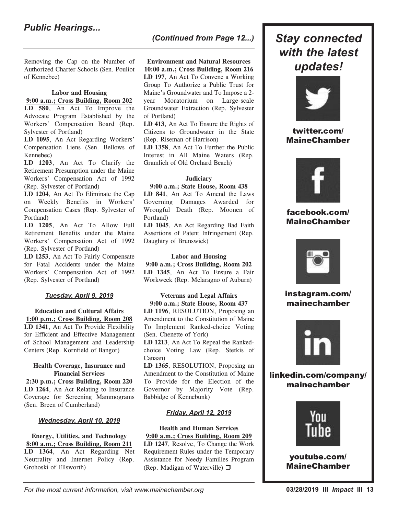Removing the Cap on the Number of Authorized Charter Schools (Sen. Pouliot of Kennebec)

#### **Labor and Housing**

#### **9:00 a.m.; Cross Building, Room 202**

**LD 580**, An Act To Improve the Advocate Program Established by the Workers' Compensation Board (Rep. Sylvester of Portland)

**LD 1095**, An Act Regarding Workers' Compensation Liens (Sen. Bellows of Kennebec)

**LD 1203**, An Act To Clarify the Retirement Presumption under the Maine Workers' Compensation Act of 1992 (Rep. Sylvester of Portland)

**LD 1204**, An Act To Eliminate the Cap on Weekly Benefits in Workers' Compensation Cases (Rep. Sylvester of Portland)

**LD 1205**, An Act To Allow Full Retirement Benefits under the Maine Workers' Compensation Act of 1992 (Rep. Sylvester of Portland)

**LD 1253**, An Act To Fairly Compensate for Fatal Accidents under the Maine Workers' Compensation Act of 1992 (Rep. Sylvester of Portland)

#### *Tuesday, April 9, 2019*

**Education and Cultural Affairs 1:00 p.m.; Cross Building, Room 208 LD 1341**, An Act To Provide Flexibility for Efficient and Effective Management of School Management and Leadership Centers (Rep. Kornfield of Bangor)

#### **Health Coverage, Insurance and Financial Services**

**2:30 p.m.; Cross Building, Room 220 LD 1264**, An Act Relating to Insurance Coverage for Screening Mammograms (Sen. Breen of Cumberland)

#### *Wednesday, April 10, 2019*

**Energy, Utilities, and Technology 8:00 a.m.; Cross Building, Room 211 LD 1364**, An Act Regarding Net Neutrality and Internet Policy (Rep. Grohoski of Ellsworth)

## *(Continued from Page 12...) Stay connected*

#### **Environment and Natural Resources 10:00 a.m.; Cross Building, Room 216**

**LD 197**, An Act To Convene a Working Group To Authorize a Public Trust for Maine's Groundwater and To Impose a 2 year Moratorium on Large-scale Groundwater Extraction (Rep. Sylvester of Portland)

**LD 413**, An Act To Ensure the Rights of Citizens to Groundwater in the State (Rep. Riseman of Harrison)

**LD 1358**, An Act To Further the Public Interest in All Maine Waters (Rep. Gramlich of Old Orchard Beach)

#### **Judiciary**

#### **9:00 a.m.; State House, Room 438**

**LD 841**, An Act To Amend the Laws Governing Damages Awarded for Wrongful Death (Rep. Moonen of Portland)

**LD 1045**, An Act Regarding Bad Faith Assertions of Patent Infringement (Rep. Daughtry of Brunswick)

#### **Labor and Housing**

**9:00 a.m.; Cross Building, Room 202 LD 1345**, An Act To Ensure a Fair Workweek (Rep. Melaragno of Auburn)

#### **Veterans and Legal Affairs 9:00 a.m.; State House, Room 437**

**LD 1196**, RESOLUTION, Proposing an Amendment to the Constitution of Maine To Implement Ranked-choice Voting (Sen. Chenette of York)

**LD 1213**, An Act To Repeal the Rankedchoice Voting Law (Rep. Stetkis of Canaan)

**LD 1365**, RESOLUTION, Proposing an Amendment to the Constitution of Maine To Provide for the Election of the Governor by Majority Vote (Rep. Babbidge of Kennebunk)

#### *Friday, April 12, 2019*

## **Health and Human Services**

**9:00 a.m.; Cross Building, Room 209 LD 1247**, Resolve, To Change the Work Requirement Rules under the Temporary Assistance for Needy Families Program (Rep. Madigan of Waterville)  $\Box$ 



#### twitter.com/ MaineChamber



#### facebook.com/ MaineChamber



#### instagram.com/ mainechamber



linkedin.com/company/ mainechamber



youtube.com/ MaineChamber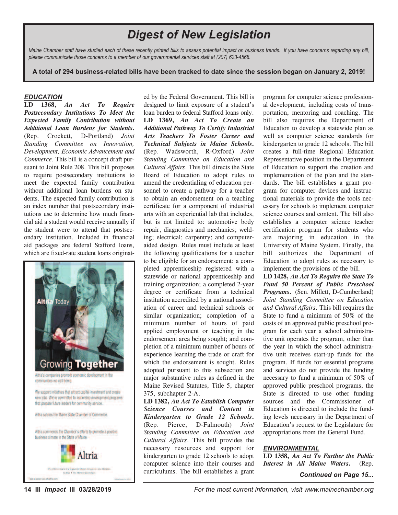## *Digest of New Legislation*

Maine Chamber staff have studied each of these recently printed bills to assess potential impact on business trends. If you have concerns regarding any bill, *please communicate those concerns to a member of our governmental services staff at (207) 623-4568.*

A total of 294 business-related bills have been tracked to date since the session began on January 2, 2019!

#### *EDUCATION*

**LD 1368,** *An Act To Require Postsecondary Institutions To Meet the Expected Family Contribution without Additional Loan Burdens for Students***.** (Rep. Crockett, D-Portland) *Joint Standing Committee on Innovation, Development, Economic Advancement and Commerce*. This bill is a concept draft pursuant to Joint Rule 208. This bill proposes to require postsecondary institutions to meet the expected family contribution without additional loan burdens on students. The expected family contribution is an index number that postsecondary institutions use to determine how much financial aid a student would receive annually if the student were to attend that postsecondary institution. Included in financial aid packages are federal Stafford loans, which are fixed-rate student loans originat-



ed by the Federal Government. This bill is designed to limit exposure of a student's loan burden to federal Stafford loans only. **LD 1369,** *An Act To Create an Additional Pathway To Certify Industrial Arts Teachers To Foster Career and Technical Subjects in Maine Schools***.** (Rep. Wadsworth, R-Oxford) *Joint Standing Committee on Education and Cultural Affairs*. This bill directs the State Board of Education to adopt rules to amend the credentialing of education personnel to create a pathway for a teacher to obtain an endorsement on a teaching certificate for a component of industrial arts with an experiential lab that includes, but is not limited to: automotive body repair, diagnostics and mechanics; welding; electrical; carpentry; and computeraided design. Rules must include at least the following qualifications for a teacher to be eligible for an endorsement: a completed apprenticeship registered with a statewide or national apprenticeship and training organization; a completed 2-year degree or certificate from a technical institution accredited by a national association of career and technical schools or similar organization; completion of a minimum number of hours of paid applied employment or teaching in the endorsement area being sought; and completion of a minimum number of hours of experience learning the trade or craft for which the endorsement is sought. Rules adopted pursuant to this subsection are major substantive rules as defined in the Maine Revised Statutes, Title 5, chapter 375, subchapter 2-A.

**LD 1382,** *An Act To Establish Computer Science Courses and Content in Kindergarten to Grade 12 Schools***.** (Rep. Pierce, D-Falmouth) *Joint Standing Committee on Education and Cultural Affairs*. This bill provides the necessary resources and support for kindergarten to grade 12 schools to adopt computer science into their courses and curriculums. The bill establishes <sup>a</sup> grant *Continued on Page 15...*

program for computer science professional development, including costs of transportation, mentoring and coaching. The bill also requires the Department of Education to develop a statewide plan as well as computer science standards for kindergarten to grade 12 schools. The bill creates a full-time Regional Education Representative position in the Department of Education to support the creation and implementation of the plan and the standards. The bill establishes a grant program for computer devices and instructional materials to provide the tools necessary for schools to implement computer science courses and content. The bill also establishes a computer science teacher certification program for students who are majoring in education in the University of Maine System. Finally, the bill authorizes the Department of Education to adopt rules as necessary to implement the provisions of the bill.

**LD 1428,** *An Act To Require the State To Fund 50 Percent of Public Preschool Programs***.** (Sen. Millett, D-Cumberland) *Joint Standing Committee on Education and Cultural Affairs*. This bill requires the State to fund a minimum of 50% of the costs of an approved public preschool program for each year a school administrative unit operates the program, other than the year in which the school administrative unit receives start-up funds for the program. If funds for essential programs and services do not provide the funding necessary to fund a minimum of 50% of approved public preschool programs, the State is directed to use other funding sources and the Commissioner of Education is directed to include the funding levels necessary in the Department of Education's request to the Legislature for appropriations from the General Fund.

#### *ENVIRONMENTAL*

**LD 1358,** *An Act To Further the Public Interest in All Maine Waters***.** (Rep.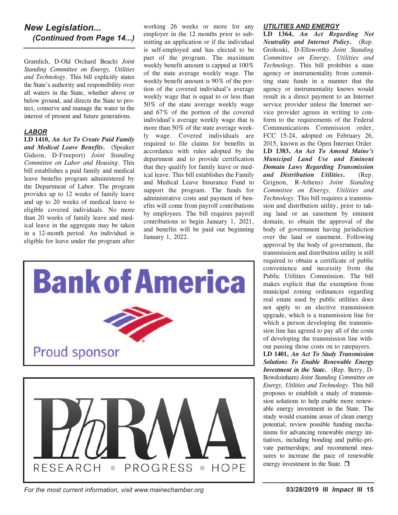#### *New Legislation... (Continued from Page 14...)*

Gramlich, D-Old Orchard Beach) *Joint Standing Committee on Energy, Utilities and Technology*. This bill explicitly states the State's authority and responsibility over all waters in the State, whether above or below ground, and directs the State to protect, conserve and manage the water in the interest of present and future generations.

#### *LABOR*

**LD 1410,** *An Act To Create Paid Family and Medical Leave Benefits***.** (Speaker Gideon, D-Freeport) *Joint Standing Committee on Labor and Housing*. This bill establishes a paid family and medical leave benefits program administered by the Department of Labor. The program provides up to 12 weeks of family leave and up to 20 weeks of medical leave to eligible covered individuals. No more than 20 weeks of family leave and medical leave in the aggregate may be taken in a 12-month period. An individual is eligible for leave under the program after

working 26 weeks or more for any employer in the 12 months prior to submitting an application or if the individual is self-employed and has elected to be part of the program. The maximum weekly benefit amount is capped at 100% of the state average weekly wage. The weekly benefit amount is 90% of the portion of the covered individual's average weekly wage that is equal to or less than 50% of the state average weekly wage and 67% of the portion of the covered individual's average weekly wage that is more than 50% of the state average weekly wage. Covered individuals are required to file claims for benefits in accordance with rules adopted by the department and to provide certification that they qualify for family leave or medical leave. This bill establishes the Family and Medical Leave Insurance Fund to support the program. The funds for administrative costs and payment of benefits will come from payroll contributions by employees. The bill requires payroll contributions to begin January 1, 2021, and benefits will be paid out beginning January 1, 2022.



*For the most current information, visit www.mainechamber.org* **03/28/2019 III** *Impact* **III 15**

#### *UTILITIES AND ENERGY*

**LD 1364,** *An Act Regarding Net Neutrality and Internet Policy***.** (Rep. Grohoski, D-Ellsworth) *Joint Standing Committee on Energy, Utilities and Technology*. This bill prohibits a state agency or instrumentality from committing state funds in a manner that the agency or instrumentality knows would result in a direct payment to an Internet service provider unless the Internet service provider agrees in writing to conform to the requirements of the Federal Communications Commission order, FCC 15-24, adopted on February 26, 2015, known as the Open Internet Order. **LD 1383,** *An Act To Amend Maine's Municipal Land Use and Eminent Domain Laws Regarding Transmission and Distribution Utilities***.** (Rep. Grignon, R-Athens) *Joint Standing Committee on Energy, Utilities and Technology*. This bill requires a transmission and distribution utility, prior to taking land or an easement by eminent domain, to obtain the approval of the body of government having jurisdiction over the land or easement. Following approval by the body of government, the transmission and distribution utility is still required to obtain a certificate of public convenience and necessity from the Public Utilities Commission. The bill makes explicit that the exemption from municipal zoning ordinances regarding real estate used by public utilities does not apply to an elective transmission upgrade, which is a transmission line for which a person developing the transmission line has agreed to pay all of the costs of developing the transmission line without passing those costs on to ratepayers. **LD 1401,** *An Act To Study Transmission Solutions To Enable Renewable Energy Investment in the State***.** (Rep. Berry, D-Bowdoinham) *Joint Standing Committee on Energy, Utilities and Technology*. This bill

proposes to establish a study of transmission solutions to help enable more renewable energy investment in the State. The study would examine areas of clean energy potential; review possible funding mechanisms for advancing renewable energy initiatives, including bonding and public-private partnerships; and recommend measures to increase the pace of renewable

energy investment in the State.  $\Box$